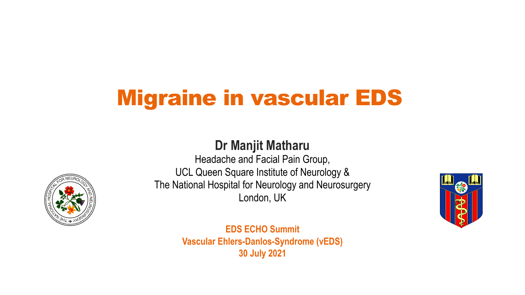# Migraine in vascular EDS

# **Dr Manjit Matharu**

Headache and Facial Pain Group, UCL Queen Square Institute of Neurology & The National Hospital for Neurology and Neurosurgery London, UK



**EDS ECHO Summit Vascular Ehlers-Danlos-Syndrome (vEDS) 30 July 2021**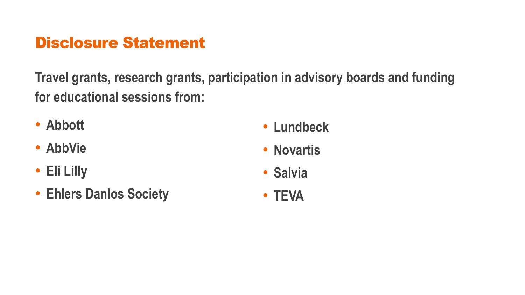# Disclosure Statement

**Travel grants, research grants, participation in advisory boards and funding for educational sessions from:**

- **Abbott**
- **AbbVie**
- **Eli Lilly**
- **Ehlers Danlos Society**
- **Lundbeck**
- **Novartis**
- **Salvia**
- **TEVA**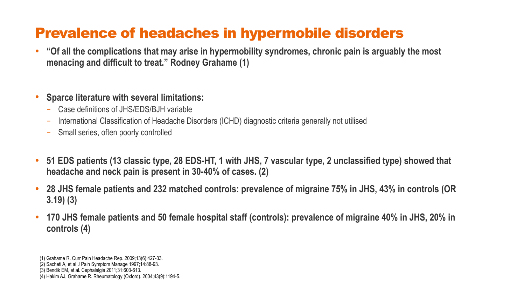# Prevalence of headaches in hypermobile disorders

- **"Of all the complications that may arise in hypermobility syndromes, chronic pain is arguably the most menacing and difficult to treat." Rodney Grahame (1)**
- **Sparce literature with several limitations:** 
	- Case definitions of JHS/EDS/BJH variable
	- International Classification of Headache Disorders (ICHD) diagnostic criteria generally not utilised
	- Small series, often poorly controlled
- **51 EDS patients (13 classic type, 28 EDS-HT, 1 with JHS, 7 vascular type, 2 unclassified type) showed that headache and neck pain is present in 30-40% of cases. (2)**
- **28 JHS female patients and 232 matched controls: prevalence of migraine 75% in JHS, 43% in controls (OR 3.19) (3)**
- **170 JHS female patients and 50 female hospital staff (controls): prevalence of migraine 40% in JHS, 20% in controls (4)**

<sup>(1)</sup> Grahame R. Curr Pain Headache Rep. 2009;13(6):427-33.

<sup>(2)</sup> Sacheti A, et al J Pain Symptom Manage 1997;14:88-93.

<sup>(3)</sup> Bendik EM, et al. Cephalalgia 2011;31:603-613.

<sup>(4)</sup> Hakim AJ, Grahame R. Rheumatology (Oxford). 2004;43(9):1194-5.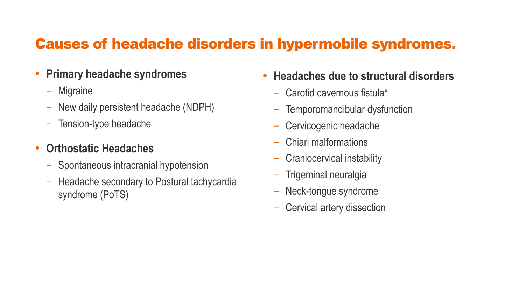### Causes of headache disorders in hypermobile syndromes.

- **Primary headache syndromes** 
	- Migraine
	- New daily persistent headache (NDPH)
	- Tension-type headache

### • **Orthostatic Headaches**

- Spontaneous intracranial hypotension
- Headache secondary to Postural tachycardia syndrome (PoTS)
- **Headaches due to structural disorders** 
	- Carotid cavernous fistula\*
	- Temporomandibular dysfunction
	- Cervicogenic headache
	- Chiari malformations
	- Craniocervical instability
	- Trigeminal neuralgia
	- Neck-tongue syndrome
	- Cervical artery dissection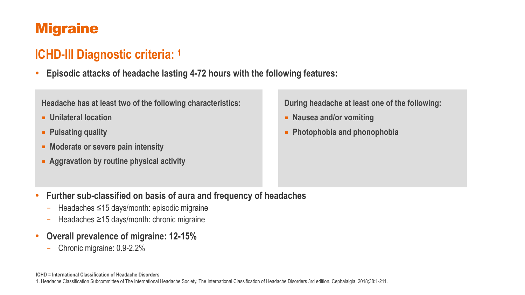# **Migraine**

# **ICHD-III Diagnostic criteria: 1**

• **Episodic attacks of headache lasting 4-72 hours with the following features:** 

#### **Headache has at least two of the following characteristics:**

- ■ **Unilateral location**
- ■ **Pulsating quality**
- ■ **Moderate or severe pain intensity**
- ■ **Aggravation by routine physical activity**

**During headache at least one of the following:** 

- ■ **Nausea and/or vomiting**
- ■ **Photophobia and phonophobia**

- **Further sub-classified on basis of aura and frequency of headaches** 
	- Headaches ≤15 days/month: episodic migraine
	- Headaches ≥15 days/month: chronic migraine
- **Overall prevalence of migraine: 12-15%** 
	- Chronic migraine: 0.9-2.2%

#### **ICHD = International Classification of Headache Disorders**

1. Headache Classification Subcommittee of The International Headache Society. The International Classification of Headache Disorders 3rd edition. Cephalalgia. 2018;38:1-211.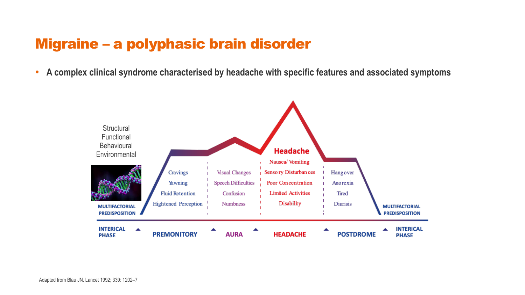### Migraine – a polyphasic brain disorder

• **A complex clinical syndrome characterised by headache with specific features and associated symptoms**

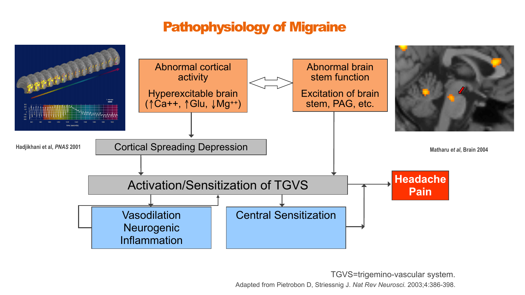### Pathophysiology of Migraine



TGVS=trigemino-vascular system.

Adapted from Pietrobon D, Striessnig J. *Nat Rev Neurosci.* 2003;4:386-398.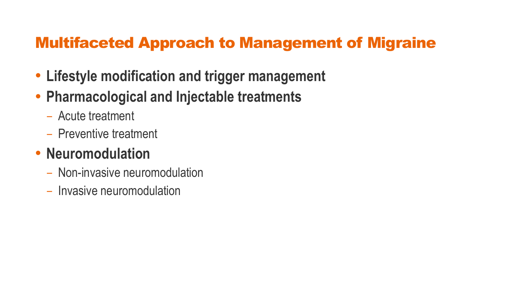# Multifaceted Approach to Management of Migraine

- **Lifestyle modification and trigger management**
- **Pharmacological and Injectable treatments** 
	- Acute treatment
	- Preventive treatment

# • **Neuromodulation**

- Non-invasive neuromodulation
- Invasive neuromodulation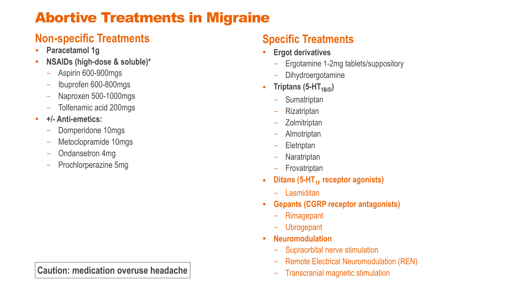# Abortive Treatments in Migraine

### **Non-specific Treatments**

- **Paracetamol 1g**
- **NSAIDs (high-dose & soluble)\*** 
	- Aspirin 600-900mgs
	- Ibuprofen 600-800mgs
	- Naproxen 500-1000mgs
	- Tolfenamic acid 200mgs
- **+/- Anti-emetics:** 
	- Domperidone 10mgs
	- Metoclopramide 10mgs
	- Ondansetron 4mg
	- Prochlorperazine 5mg

### **Caution: medication overuse headache**

### **Specific Treatments**

- **Ergot derivatives**
	- Ergotamine 1-2mg tablets/suppository
	- Dihydroergotamine
- **Triptans** (5-HT $_{1B/D}$ )
	- Sumatriptan
	- Rizatriptan
	- Zolmitriptan
	- Almotriptan
	- Eletriptan
	- Naratriptan
	- Frovatriptan
- Ditans (5-HT<sub>1F</sub> receptor agonists)
	- Lasmiditan
- **Gepants (CGRP receptor antagonists)**
	- Rimagepant
	- Ubrogepant
- **Neuromodulation**
	- Supraorbital nerve stimulation
	- Remote Electrical Neuromodulation (REN)
	- Transcranial magnetic stimulation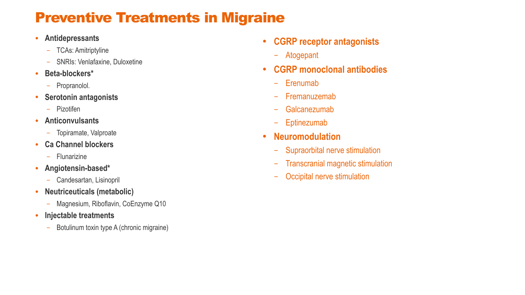# Preventive Treatments in Migraine

- **Antidepressants**
	- TCAs: Amitriptyline
	- SNRIs: Venlafaxine, Duloxetine
- **Beta-blockers\***
	- Propranolol.
- **Serotonin antagonists**
	- Pizotifen
- **Anticonvulsants**
	- Topiramate, Valproate
- **Ca Channel blockers**
	- Flunarizine
- **Angiotensin-based\***
	- Candesartan, Lisinopril
- **Neutriceuticals (metabolic)**
	- Magnesium, Riboflavin, CoEnzyme Q10
- **Injectable treatments**
	- Botulinum toxin type A (chronic migraine)
- **CGRP receptor antagonists**
	- Atogepant
- **CGRP monoclonal antibodies**
	- Erenumab
	- Fremanuzemab
	- Galcanezumab
	- Eptinezumab
- **Neuromodulation**
	- Supraorbital nerve stimulation
	- Transcranial magnetic stimulation
	- Occipital nerve stimulation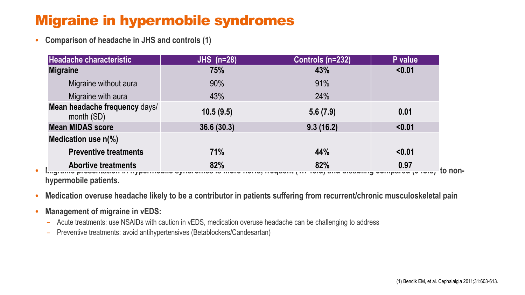# Migraine in hypermobile syndromes

• **Comparison of headache in JHS and controls (1)** 

| <b>JHS</b> (n=28) | Controls (n=232) | P value         |
|-------------------|------------------|-----------------|
| 75%               | 43%              | < 0.01          |
| 90%               | 91%              |                 |
| 43%               | 24%              |                 |
| 10.5(9.5)         | 5.6(7.9)         | 0.01            |
| 36.6(30.3)        | 9.3(16.2)        | < 0.01          |
|                   |                  |                 |
| 71%               | 44%              | < 0.01          |
| 82%               | 82%              | 0.97<br>to non- |
|                   |                  |                 |

**hypermobile patients.** 

- **Medication overuse headache likely to be a contributor in patients suffering from recurrent/chronic musculoskeletal pain**
- **Management of migraine in vEDS:** 
	- Acute treatments: use NSAIDs with caution in vEDS, medication overuse headache can be challenging to address
	- Preventive treatments: avoid antihypertensives (Betablockers/Candesartan)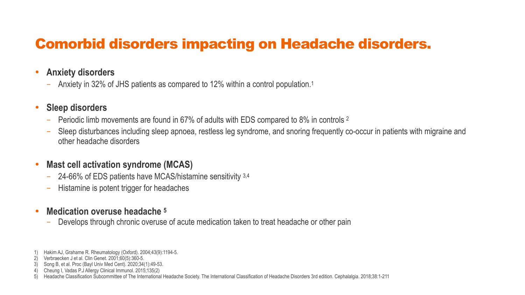# Comorbid disorders impacting on Headache disorders.

### • **Anxiety disorders**

– Anxiety in 32% of JHS patients as compared to 12% within a control population.1

### • **Sleep disorders**

- Periodic limb movements are found in 67% of adults with EDS compared to 8% in controls 2
- Sleep disturbances including sleep apnoea, restless leg syndrome, and snoring frequently co-occur in patients with migraine and other headache disorders

### • **Mast cell activation syndrome (MCAS)**

- 24-66% of EDS patients have MCAS/histamine sensitivity 3,4
- Histamine is potent trigger for headaches

#### • **Medication overuse headache 5**

– Develops through chronic overuse of acute medication taken to treat headache or other pain

<sup>1)</sup> Hakim AJ, Grahame R. Rheumatology (Oxford). 2004;43(9):1194-5.

<sup>2)</sup> Verbraecken J et al. Clin Genet. 2001;60(5):360-5.

<sup>3)</sup> Song B, et al. Proc (Bayl Univ Med Cent). 2020;34(1):49-53.

<sup>4)</sup> Cheung I, Vadas P.J Allergy Clinical Immunol. 2015;135(2)

<sup>5)</sup> Headache Classification Subcommittee of The International Headache Society. The International Classification of Headache Disorders 3rd edition. Cephalalgia. 2018;38:1-211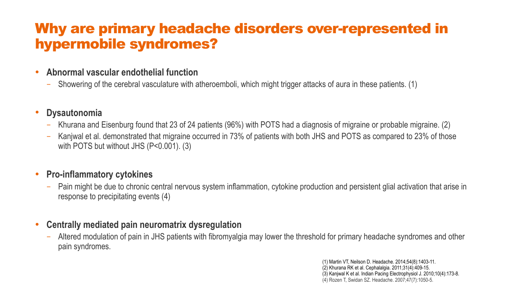### Why are primary headache disorders over-represented in hypermobile syndromes?

#### • **Abnormal vascular endothelial function**

– Showering of the cerebral vasculature with atheroemboli, which might trigger attacks of aura in these patients. (1)

#### • **Dysautonomia**

- Khurana and Eisenburg found that 23 of 24 patients (96%) with POTS had a diagnosis of migraine or probable migraine. (2)
- Kanjwal et al. demonstrated that migraine occurred in 73% of patients with both JHS and POTS as compared to 23% of those with POTS but without JHS (P<0.001). (3)

#### • **Pro-inflammatory cytokines**

– Pain might be due to chronic central nervous system inflammation, cytokine production and persistent glial activation that arise in response to precipitating events (4)

#### • **Centrally mediated pain neuromatrix dysregulation**

– Altered modulation of pain in JHS patients with fibromyalgia may lower the threshold for primary headache syndromes and other pain syndromes.

> (1) Martin VT, Neilson D. Headache. 2014;54(8):1403-11. (2) Khurana RK et al. Cephalalgia. 2011;31(4):409-15. (3) Kanjwal K et al. Indian Pacing Electrophysiol J. 2010;10(4):173-8. (4) Rozen T, Swidan SZ. Headache. 2007;47(7):1050-5.